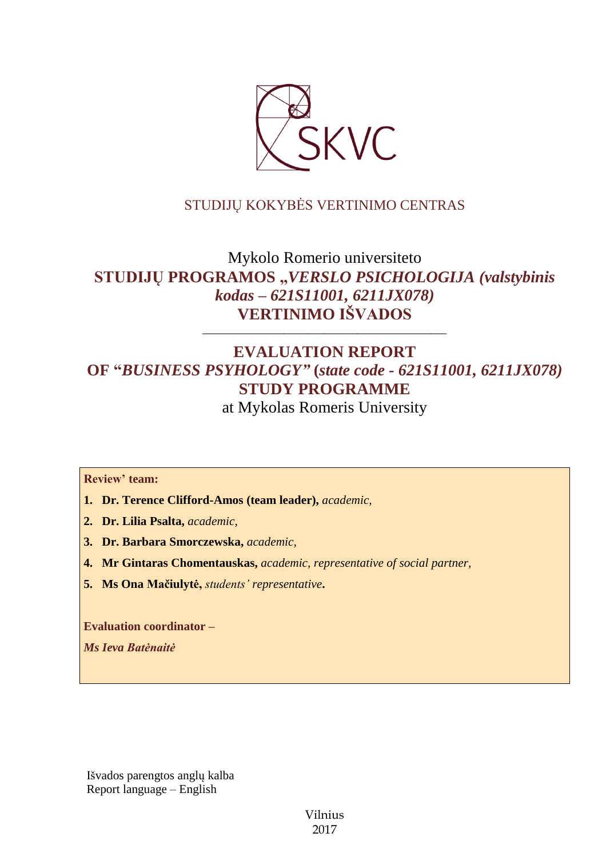

# STUDIJŲ KOKYBĖS VERTINIMO CENTRAS

# Mykolo Romerio universiteto **STUDIJŲ PROGRAMOS "***VERSLO PSICHOLOGIJA (valstybinis kodas – 621S11001, 6211JX078)* **VERTINIMO IŠVADOS**

# **EVALUATION REPORT OF "***BUSINESS PSYHOLOGY"* **(***state code - 621S11001, 6211JX078)* **STUDY PROGRAMME** at Mykolas Romeris University

––––––––––––––––––––––––––––––

**Review' team:**

- **1. Dr. Terence Clifford-Amos (team leader),** *academic,*
- **2. Dr. Lilia Psalta,** *academic,*
- **3. Dr. Barbara Smorczewska,** *academic,*
- **4. Mr Gintaras Chomentauskas,** *academic, representative of social partner,*
- **5. Ms Ona Mačiulytė,** *students' representative***.**

**Evaluation coordinator –**

*Ms Ieva Batėnaitė*

Išvados parengtos anglų kalba Report language – English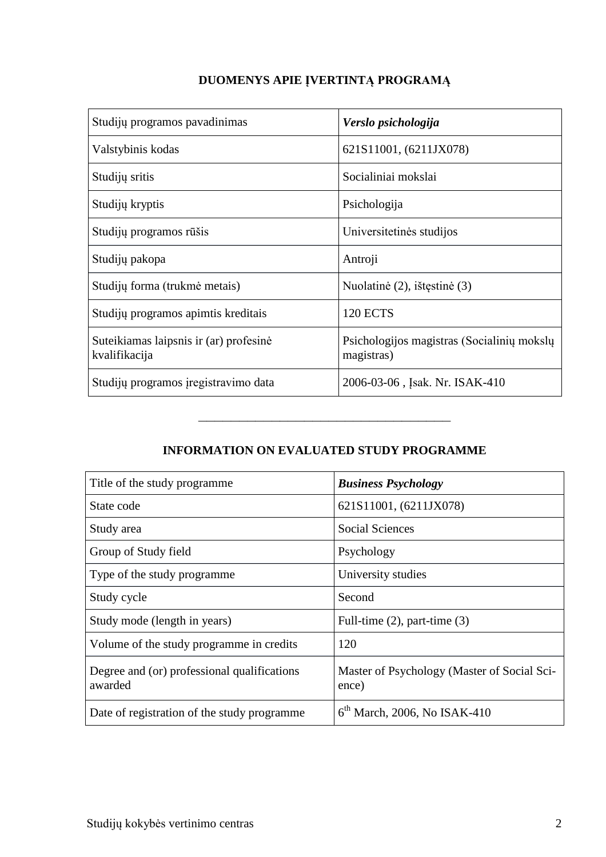| Studijų programos pavadinimas                           | Verslo psichologija                                      |
|---------------------------------------------------------|----------------------------------------------------------|
| Valstybinis kodas                                       | 621S11001, (6211JX078)                                   |
| Studijų sritis                                          | Socialiniai mokslai                                      |
| Studijų kryptis                                         | Psichologija                                             |
| Studijų programos rūšis                                 | Universitetinės studijos                                 |
| Studijų pakopa                                          | Antroji                                                  |
| Studijų forma (trukmė metais)                           | Nuolatinė (2), ištęstinė (3)                             |
| Studijų programos apimtis kreditais                     | <b>120 ECTS</b>                                          |
| Suteikiamas laipsnis ir (ar) profesinė<br>kvalifikacija | Psichologijos magistras (Socialinių mokslų<br>magistras) |
| Studijų programos įregistravimo data                    | 2006-03-06, Isak. Nr. ISAK-410                           |

# **DUOMENYS APIE ĮVERTINTĄ PROGRAMĄ**

# **INFORMATION ON EVALUATED STUDY PROGRAMME**

–––––––––––––––––––––––––––––––

| Title of the study programme                           | <b>Business Psychology</b>                           |
|--------------------------------------------------------|------------------------------------------------------|
| State code                                             | 621S11001, (6211JX078)                               |
| Study area                                             | <b>Social Sciences</b>                               |
| Group of Study field                                   | Psychology                                           |
| Type of the study programme                            | University studies                                   |
| Study cycle                                            | Second                                               |
| Study mode (length in years)                           | Full-time $(2)$ , part-time $(3)$                    |
| Volume of the study programme in credits               | 120                                                  |
| Degree and (or) professional qualifications<br>awarded | Master of Psychology (Master of Social Sci-<br>ence) |
| Date of registration of the study programme            | $6th$ March, 2006, No ISAK-410                       |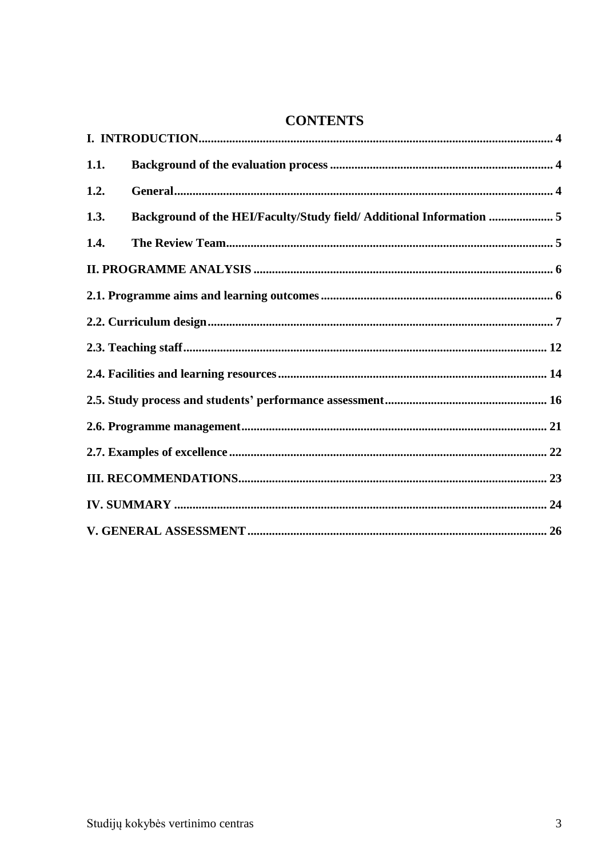# **CONTENTS**

| 1.1.                                                                         |  |
|------------------------------------------------------------------------------|--|
| 1.2.                                                                         |  |
| Background of the HEI/Faculty/Study field/ Additional Information  5<br>1.3. |  |
| 1.4.                                                                         |  |
|                                                                              |  |
|                                                                              |  |
|                                                                              |  |
|                                                                              |  |
|                                                                              |  |
|                                                                              |  |
|                                                                              |  |
|                                                                              |  |
|                                                                              |  |
|                                                                              |  |
|                                                                              |  |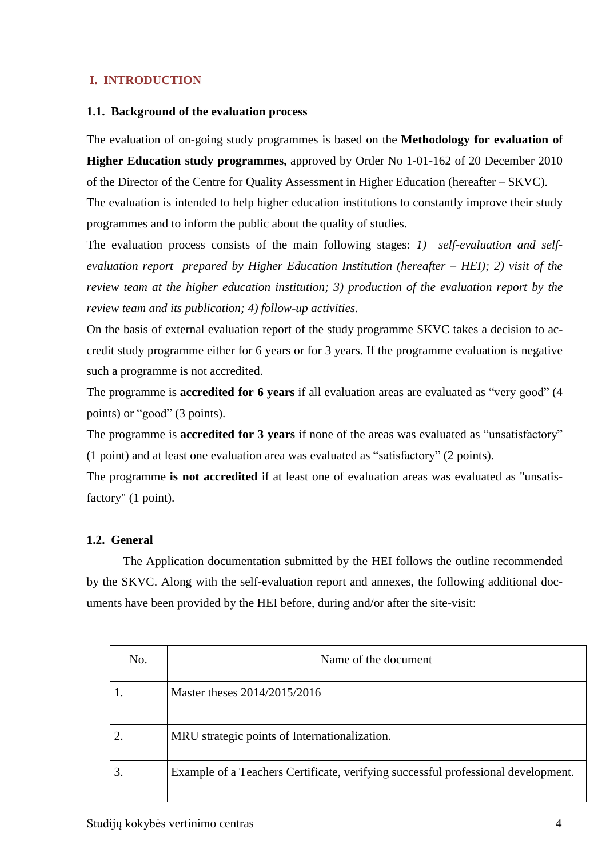# <span id="page-3-0"></span>**I. INTRODUCTION**

### <span id="page-3-1"></span>**1.1. Background of the evaluation process**

The evaluation of on-going study programmes is based on the **Methodology for evaluation of Higher Education study programmes,** approved by Order No 1-01-162 of 20 December 2010 of the Director of the Centre for Quality Assessment in Higher Education (hereafter – SKVC).

The evaluation is intended to help higher education institutions to constantly improve their study programmes and to inform the public about the quality of studies.

The evaluation process consists of the main following stages: *1) self-evaluation and selfevaluation report prepared by Higher Education Institution (hereafter – HEI); 2) visit of the review team at the higher education institution; 3) production of the evaluation report by the review team and its publication; 4) follow-up activities.*

On the basis of external evaluation report of the study programme SKVC takes a decision to accredit study programme either for 6 years or for 3 years. If the programme evaluation is negative such a programme is not accredited.

The programme is **accredited for 6 years** if all evaluation areas are evaluated as "very good" (4 points) or "good" (3 points).

The programme is **accredited for 3 years** if none of the areas was evaluated as "unsatisfactory" (1 point) and at least one evaluation area was evaluated as "satisfactory" (2 points).

The programme **is not accredited** if at least one of evaluation areas was evaluated as "unsatisfactory" (1 point).

# <span id="page-3-2"></span>**1.2. General**

The Application documentation submitted by the HEI follows the outline recommended by the SKVC. Along with the self-evaluation report and annexes, the following additional documents have been provided by the HEI before, during and/or after the site-visit:

| No. | Name of the document                                                              |
|-----|-----------------------------------------------------------------------------------|
|     | Master theses 2014/2015/2016                                                      |
|     | MRU strategic points of Internationalization.                                     |
|     | Example of a Teachers Certificate, verifying successful professional development. |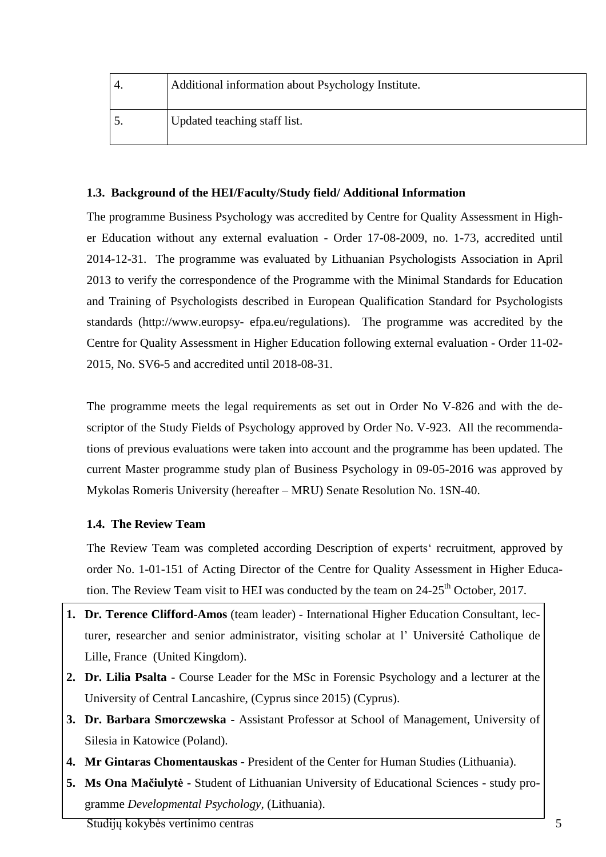|     | Additional information about Psychology Institute. |
|-----|----------------------------------------------------|
| ຸບ. | Updated teaching staff list.                       |

# <span id="page-4-0"></span>**1.3. Background of the HEI/Faculty/Study field/ Additional Information**

The programme Business Psychology was accredited by Centre for Quality Assessment in Higher Education without any external evaluation - Order 17-08-2009, no. 1-73, accredited until 2014-12-31. The programme was evaluated by Lithuanian Psychologists Association in April 2013 to verify the correspondence of the Programme with the Minimal Standards for Education and Training of Psychologists described in European Qualification Standard for Psychologists standards (http://www.europsy- efpa.eu/regulations). The programme was accredited by the Centre for Quality Assessment in Higher Education following external evaluation - Order 11-02- 2015, No. SV6-5 and accredited until 2018-08-31.

The programme meets the legal requirements as set out in Order No V-826 and with the descriptor of the Study Fields of Psychology approved by Order No. V-923. All the recommendations of previous evaluations were taken into account and the programme has been updated. The current Master programme study plan of Business Psychology in 09-05-2016 was approved by Mykolas Romeris University (hereafter – MRU) Senate Resolution No. 1SN-40.

# <span id="page-4-1"></span>**1.4. The Review Team**

The Review Team was completed according Description of experts' recruitment, approved by order No. 1-01-151 of Acting Director of the Centre for Quality Assessment in Higher Education. The Review Team visit to HEI was conducted by the team on 24-25<sup>th</sup> October, 2017.

- **1. Dr. Terence Clifford-Amos** (team leader) International Higher Education Consultant, lecturer, researcher and senior administrator, visiting scholar at l' Université Catholique de Lille, France (United Kingdom).
- **2. Dr. Lilia Psalta** Course Leader for the MSc in Forensic Psychology and a lecturer at the University of Central Lancashire, (Cyprus since 2015) (Cyprus).
- **3. Dr. Barbara Smorczewska -** Assistant Professor at School of Management, University of Silesia in Katowice (Poland).
- **4. Mr Gintaras Chomentauskas -** President of the Center for Human Studies (Lithuania).
- **5. Ms Ona Mačiulytė -** Student of Lithuanian University of Educational Sciences study programme *Developmental Psychology,* (Lithuania).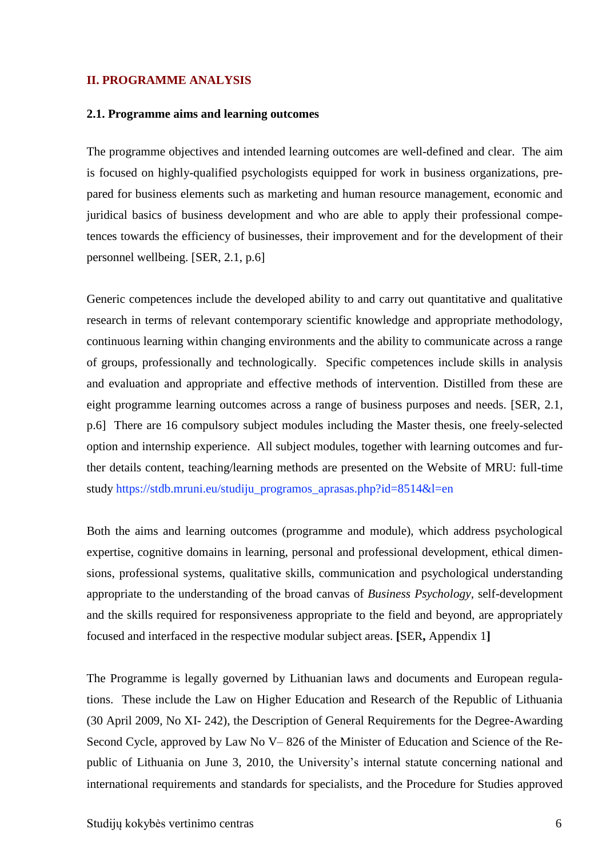### <span id="page-5-0"></span>**II. PROGRAMME ANALYSIS**

#### <span id="page-5-1"></span>**2.1. Programme aims and learning outcomes**

The programme objectives and intended learning outcomes are well-defined and clear. The aim is focused on highly-qualified psychologists equipped for work in business organizations, prepared for business elements such as marketing and human resource management, economic and juridical basics of business development and who are able to apply their professional competences towards the efficiency of businesses, their improvement and for the development of their personnel wellbeing. [SER, 2.1, p.6]

Generic competences include the developed ability to and carry out quantitative and qualitative research in terms of relevant contemporary scientific knowledge and appropriate methodology, continuous learning within changing environments and the ability to communicate across a range of groups, professionally and technologically. Specific competences include skills in analysis and evaluation and appropriate and effective methods of intervention. Distilled from these are eight programme learning outcomes across a range of business purposes and needs. [SER, 2.1, p.6] There are 16 compulsory subject modules including the Master thesis, one freely-selected option and internship experience. All subject modules, together with learning outcomes and further details content, teaching/learning methods are presented on the Website of MRU: full-time study https://stdb.mruni.eu/studiju\_programos\_aprasas.php?id=8514&l=en

Both the aims and learning outcomes (programme and module), which address psychological expertise, cognitive domains in learning, personal and professional development, ethical dimensions, professional systems, qualitative skills, communication and psychological understanding appropriate to the understanding of the broad canvas of *Business Psychology,* self-development and the skills required for responsiveness appropriate to the field and beyond, are appropriately focused and interfaced in the respective modular subject areas. **[**SER**,** Appendix 1**]**

The Programme is legally governed by Lithuanian laws and documents and European regulations. These include the Law on Higher Education and Research of the Republic of Lithuania (30 April 2009, No XI- 242), the Description of General Requirements for the Degree-Awarding Second Cycle, approved by Law No V– 826 of the Minister of Education and Science of the Republic of Lithuania on June 3, 2010, the University's internal statute concerning national and international requirements and standards for specialists, and the Procedure for Studies approved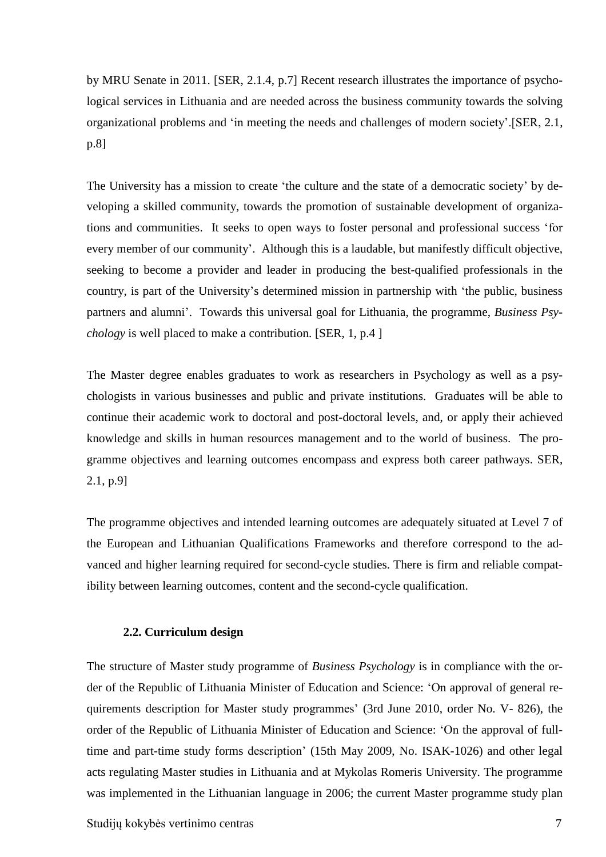by MRU Senate in 2011. [SER, 2.1.4, p.7] Recent research illustrates the importance of psychological services in Lithuania and are needed across the business community towards the solving organizational problems and 'in meeting the needs and challenges of modern society'.[SER, 2.1, p.8]

The University has a mission to create 'the culture and the state of a democratic society' by developing a skilled community, towards the promotion of sustainable development of organizations and communities. It seeks to open ways to foster personal and professional success 'for every member of our community'. Although this is a laudable, but manifestly difficult objective, seeking to become a provider and leader in producing the best-qualified professionals in the country, is part of the University's determined mission in partnership with 'the public, business partners and alumni'. Towards this universal goal for Lithuania, the programme, *Business Psychology* is well placed to make a contribution. [SER, 1, p.4 ]

The Master degree enables graduates to work as researchers in Psychology as well as a psychologists in various businesses and public and private institutions. Graduates will be able to continue their academic work to doctoral and post-doctoral levels, and, or apply their achieved knowledge and skills in human resources management and to the world of business. The programme objectives and learning outcomes encompass and express both career pathways. SER, 2.1, p.9]

The programme objectives and intended learning outcomes are adequately situated at Level 7 of the European and Lithuanian Qualifications Frameworks and therefore correspond to the advanced and higher learning required for second-cycle studies. There is firm and reliable compatibility between learning outcomes, content and the second-cycle qualification.

#### **2.2. Curriculum design**

<span id="page-6-0"></span>The structure of Master study programme of *Business Psychology* is in compliance with the order of the Republic of Lithuania Minister of Education and Science: 'On approval of general requirements description for Master study programmes' (3rd June 2010, order No. V- 826), the order of the Republic of Lithuania Minister of Education and Science: 'On the approval of fulltime and part-time study forms description' (15th May 2009, No. ISAK-1026) and other legal acts regulating Master studies in Lithuania and at Mykolas Romeris University. The programme was implemented in the Lithuanian language in 2006; the current Master programme study plan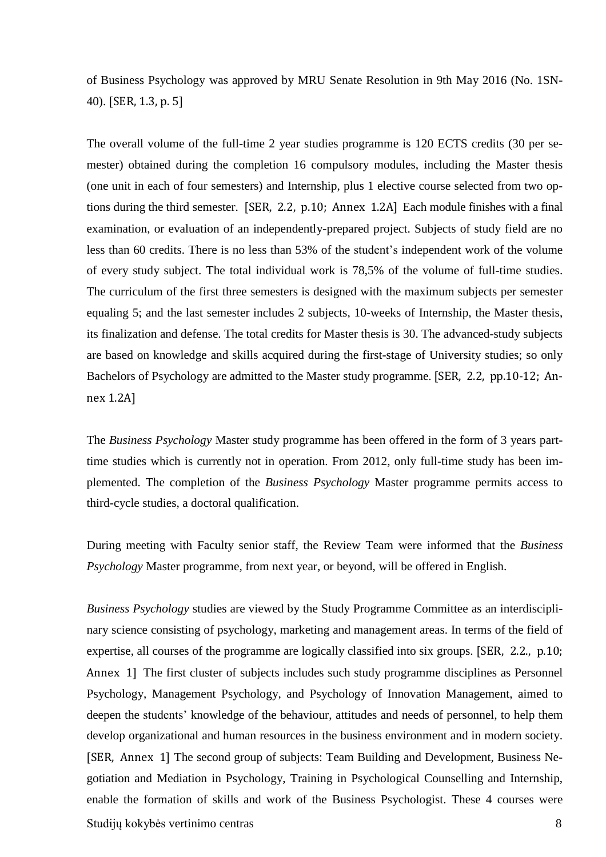of Business Psychology was approved by MRU Senate Resolution in 9th May 2016 (No. 1SN-40). [SER, 1.3, p. 5]

The overall volume of the full-time 2 year studies programme is 120 ECTS credits (30 per semester) obtained during the completion 16 compulsory modules, including the Master thesis (one unit in each of four semesters) and Internship, plus 1 elective course selected from two options during the third semester. [SER, 2.2, p.10; Annex 1.2A] Each module finishes with a final examination, or evaluation of an independently-prepared project. Subjects of study field are no less than 60 credits. There is no less than 53% of the student's independent work of the volume of every study subject. The total individual work is 78,5% of the volume of full-time studies. The curriculum of the first three semesters is designed with the maximum subjects per semester equaling 5; and the last semester includes 2 subjects, 10-weeks of Internship, the Master thesis, its finalization and defense. The total credits for Master thesis is 30. The advanced-study subjects are based on knowledge and skills acquired during the first-stage of University studies; so only Bachelors of Psychology are admitted to the Master study programme. [SER, 2.2, pp.10-12; Annex 1.2A]

The *Business Psychology* Master study programme has been offered in the form of 3 years parttime studies which is currently not in operation. From 2012, only full-time study has been implemented. The completion of the *Business Psychology* Master programme permits access to third-cycle studies, a doctoral qualification.

During meeting with Faculty senior staff, the Review Team were informed that the *Business Psychology* Master programme, from next year, or beyond, will be offered in English.

*Business Psychology* studies are viewed by the Study Programme Committee as an interdisciplinary science consisting of psychology, marketing and management areas. In terms of the field of expertise, all courses of the programme are logically classified into six groups. [SER, 2.2., p.10; Annex 1] The first cluster of subjects includes such study programme disciplines as Personnel Psychology, Management Psychology, and Psychology of Innovation Management, aimed to deepen the students' knowledge of the behaviour, attitudes and needs of personnel, to help them develop organizational and human resources in the business environment and in modern society. [SER, Annex 1] The second group of subjects: Team Building and Development, Business Negotiation and Mediation in Psychology, Training in Psychological Counselling and Internship, enable the formation of skills and work of the Business Psychologist. These 4 courses were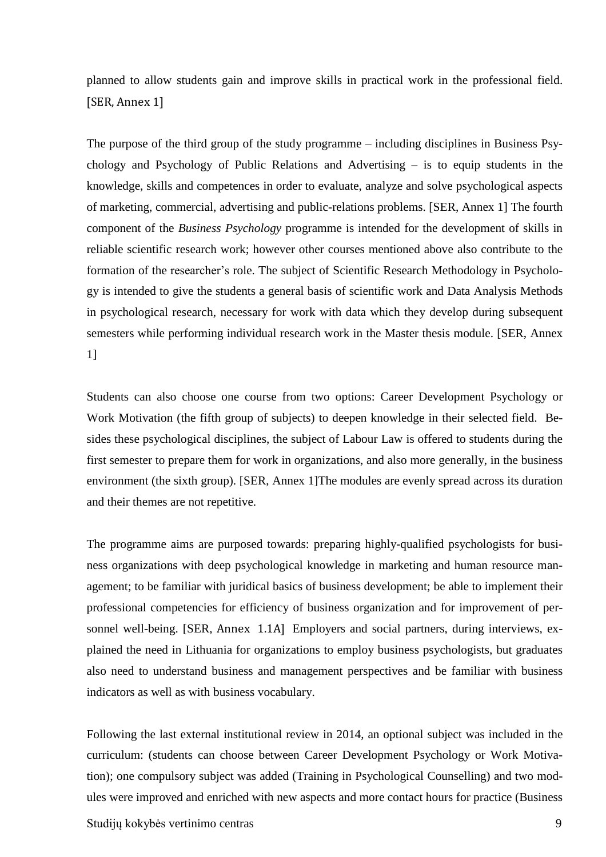planned to allow students gain and improve skills in practical work in the professional field. [SER, Annex 1]

The purpose of the third group of the study programme – including disciplines in Business Psychology and Psychology of Public Relations and Advertising – is to equip students in the knowledge, skills and competences in order to evaluate, analyze and solve psychological aspects of marketing, commercial, advertising and public-relations problems. [SER, Annex 1] The fourth component of the *Business Psychology* programme is intended for the development of skills in reliable scientific research work; however other courses mentioned above also contribute to the formation of the researcher's role. The subject of Scientific Research Methodology in Psychology is intended to give the students a general basis of scientific work and Data Analysis Methods in psychological research, necessary for work with data which they develop during subsequent semesters while performing individual research work in the Master thesis module. [SER, Annex 1]

Students can also choose one course from two options: Career Development Psychology or Work Motivation (the fifth group of subjects) to deepen knowledge in their selected field. Besides these psychological disciplines, the subject of Labour Law is offered to students during the first semester to prepare them for work in organizations, and also more generally, in the business environment (the sixth group). [SER, Annex 1]The modules are evenly spread across its duration and their themes are not repetitive.

The programme aims are purposed towards: preparing highly-qualified psychologists for business organizations with deep psychological knowledge in marketing and human resource management; to be familiar with juridical basics of business development; be able to implement their professional competencies for efficiency of business organization and for improvement of personnel well-being. [SER, Annex 1.1A] Employers and social partners, during interviews, explained the need in Lithuania for organizations to employ business psychologists, but graduates also need to understand business and management perspectives and be familiar with business indicators as well as with business vocabulary.

Following the last external institutional review in 2014, an optional subject was included in the curriculum: (students can choose between Career Development Psychology or Work Motivation); one compulsory subject was added (Training in Psychological Counselling) and two modules were improved and enriched with new aspects and more contact hours for practice (Business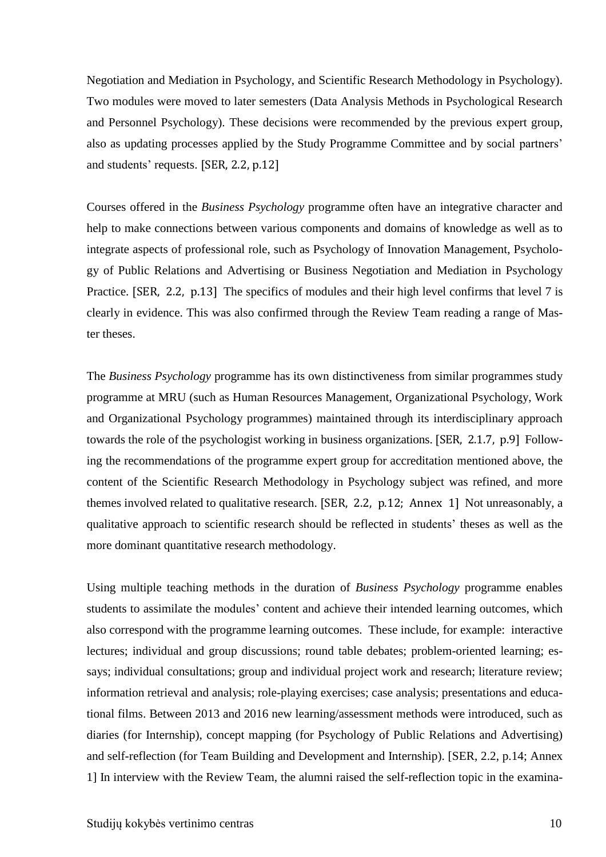Negotiation and Mediation in Psychology, and Scientific Research Methodology in Psychology). Two modules were moved to later semesters (Data Analysis Methods in Psychological Research and Personnel Psychology). These decisions were recommended by the previous expert group, also as updating processes applied by the Study Programme Committee and by social partners' and students' requests. [SER, 2.2, p.12]

Courses offered in the *Business Psychology* programme often have an integrative character and help to make connections between various components and domains of knowledge as well as to integrate aspects of professional role, such as Psychology of Innovation Management, Psychology of Public Relations and Advertising or Business Negotiation and Mediation in Psychology Practice. [SER, 2.2, p.13] The specifics of modules and their high level confirms that level 7 is clearly in evidence. This was also confirmed through the Review Team reading a range of Master theses.

The *Business Psychology* programme has its own distinctiveness from similar programmes study programme at MRU (such as Human Resources Management, Organizational Psychology, Work and Organizational Psychology programmes) maintained through its interdisciplinary approach towards the role of the psychologist working in business organizations. [SER, 2.1.7, p.9] Following the recommendations of the programme expert group for accreditation mentioned above, the content of the Scientific Research Methodology in Psychology subject was refined, and more themes involved related to qualitative research. [SER, 2.2, p.12; Annex 1] Not unreasonably, a qualitative approach to scientific research should be reflected in students' theses as well as the more dominant quantitative research methodology.

Using multiple teaching methods in the duration of *Business Psychology* programme enables students to assimilate the modules' content and achieve their intended learning outcomes, which also correspond with the programme learning outcomes. These include, for example: interactive lectures; individual and group discussions; round table debates; problem-oriented learning; essays; individual consultations; group and individual project work and research; literature review; information retrieval and analysis; role-playing exercises; case analysis; presentations and educational films. Between 2013 and 2016 new learning/assessment methods were introduced, such as diaries (for Internship), concept mapping (for Psychology of Public Relations and Advertising) and self-reflection (for Team Building and Development and Internship). [SER, 2.2, p.14; Annex 1] In interview with the Review Team, the alumni raised the self-reflection topic in the examina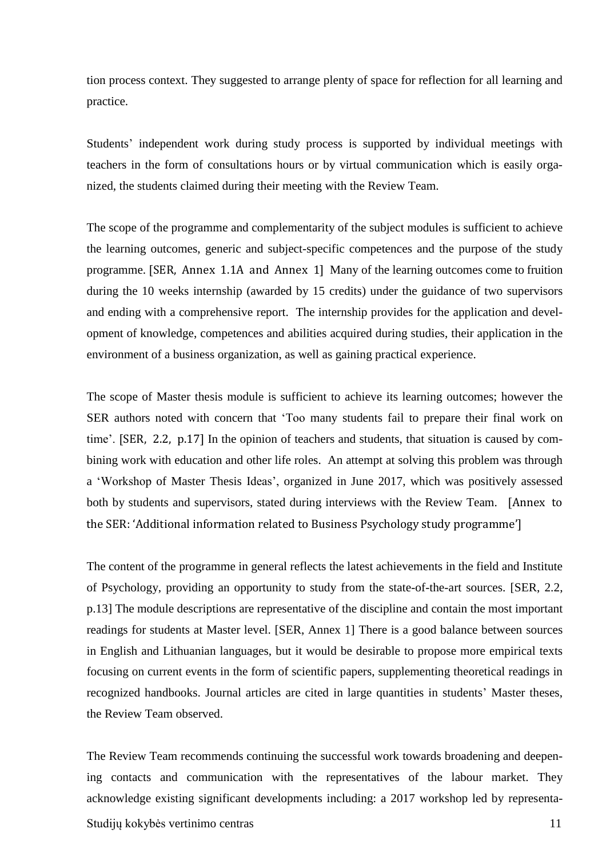tion process context. They suggested to arrange plenty of space for reflection for all learning and practice.

Students' independent work during study process is supported by individual meetings with teachers in the form of consultations hours or by virtual communication which is easily organized, the students claimed during their meeting with the Review Team.

The scope of the programme and complementarity of the subject modules is sufficient to achieve the learning outcomes, generic and subject-specific competences and the purpose of the study programme. [SER, Annex 1.1A and Annex 1] Many of the learning outcomes come to fruition during the 10 weeks internship (awarded by 15 credits) under the guidance of two supervisors and ending with a comprehensive report. The internship provides for the application and development of knowledge, competences and abilities acquired during studies, their application in the environment of a business organization, as well as gaining practical experience.

The scope of Master thesis module is sufficient to achieve its learning outcomes; however the SER authors noted with concern that 'Too many students fail to prepare their final work on time'. [SER, 2.2, p.17] In the opinion of teachers and students, that situation is caused by combining work with education and other life roles. An attempt at solving this problem was through a 'Workshop of Master Thesis Ideas', organized in June 2017, which was positively assessed both by students and supervisors, stated during interviews with the Review Team. [Annex to the SER: 'Additional information related to Business Psychology study programme']

The content of the programme in general reflects the latest achievements in the field and Institute of Psychology, providing an opportunity to study from the state-of-the-art sources. [SER, 2.2, p.13] The module descriptions are representative of the discipline and contain the most important readings for students at Master level. [SER, Annex 1] There is a good balance between sources in English and Lithuanian languages, but it would be desirable to propose more empirical texts focusing on current events in the form of scientific papers, supplementing theoretical readings in recognized handbooks. Journal articles are cited in large quantities in students' Master theses, the Review Team observed.

The Review Team recommends continuing the successful work towards broadening and deepening contacts and communication with the representatives of the labour market. They acknowledge existing significant developments including: a 2017 workshop led by representa-

Studijų kokybės vertinimo centras 11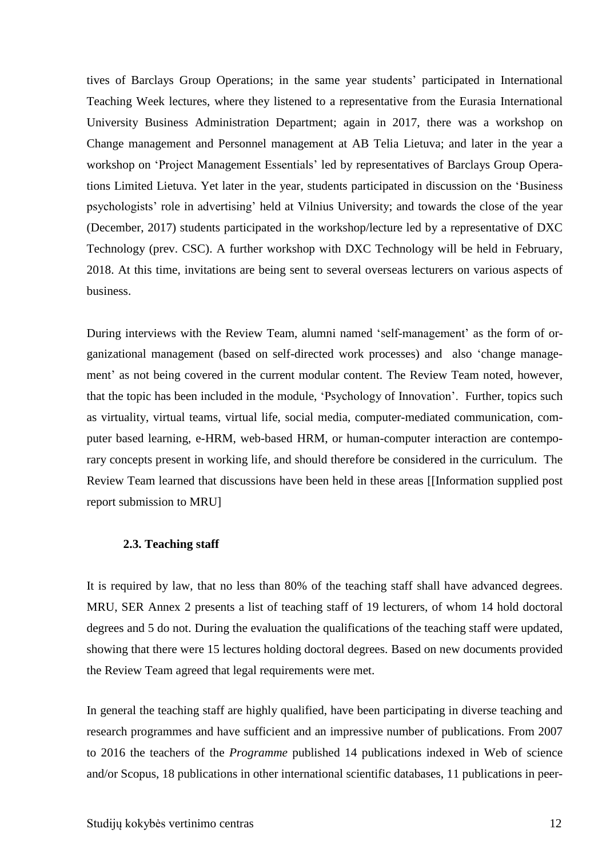tives of Barclays Group Operations; in the same year students' participated in International Teaching Week lectures, where they listened to a representative from the Eurasia International University Business Administration Department; again in 2017, there was a workshop on Change management and Personnel management at AB Telia Lietuva; and later in the year a workshop on 'Project Management Essentials' led by representatives of Barclays Group Operations Limited Lietuva. Yet later in the year, students participated in discussion on the 'Business psychologists' role in advertising' held at Vilnius University; and towards the close of the year (December, 2017) students participated in the workshop/lecture led by a representative of DXC Technology (prev. CSC). A further workshop with DXC Technology will be held in February, 2018. At this time, invitations are being sent to several overseas lecturers on various aspects of business.

During interviews with the Review Team, alumni named 'self-management' as the form of organizational management (based on self-directed work processes) and also 'change management' as not being covered in the current modular content. The Review Team noted, however, that the topic has been included in the module, 'Psychology of Innovation'. Further, topics such as virtuality, virtual teams, virtual life, social media, computer-mediated communication, computer based learning, e-HRM, web-based HRM, or human-computer interaction are contemporary concepts present in working life, and should therefore be considered in the curriculum. The Review Team learned that discussions have been held in these areas [[Information supplied post report submission to MRU]

#### <span id="page-11-0"></span>**2.3. Teaching staff**

It is required by law, that no less than 80% of the teaching staff shall have advanced degrees. MRU, SER Annex 2 presents a list of teaching staff of 19 lecturers, of whom 14 hold doctoral degrees and 5 do not. During the evaluation the qualifications of the teaching staff were updated, showing that there were 15 lectures holding doctoral degrees. Based on new documents provided the Review Team agreed that legal requirements were met.

In general the teaching staff are highly qualified, have been participating in diverse teaching and research programmes and have sufficient and an impressive number of publications. From 2007 to 2016 the teachers of the *Programme* published 14 publications indexed in Web of science and/or Scopus, 18 publications in other international scientific databases, 11 publications in peer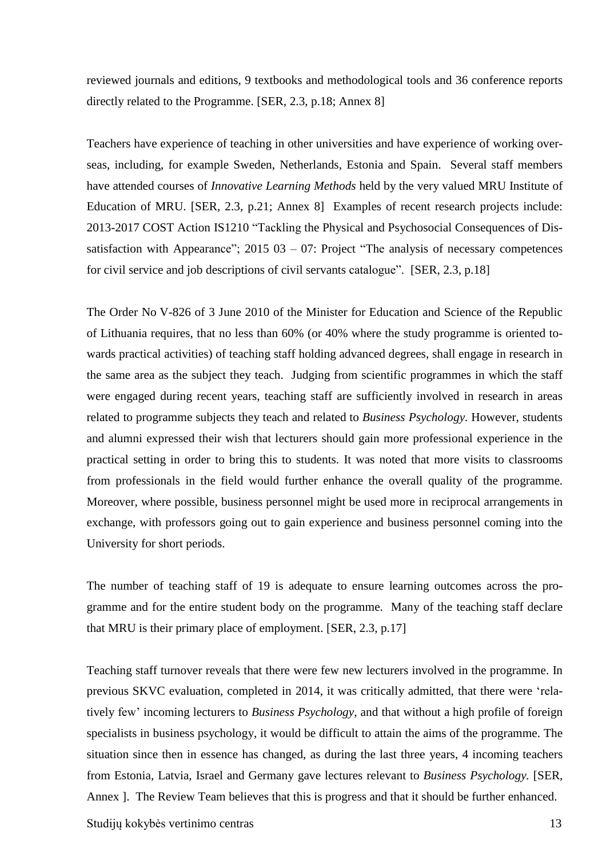reviewed journals and editions, 9 textbooks and methodological tools and 36 conference reports directly related to the Programme. [SER, 2.3, p.18; Annex 8]

Teachers have experience of teaching in other universities and have experience of working overseas, including, for example Sweden, Netherlands, Estonia and Spain. Several staff members have attended courses of *Innovative Learning Methods* held by the very valued MRU Institute of Education of MRU. [SER, 2.3, p.21; Annex 8] Examples of recent research projects include: 2013-2017 COST Action IS1210 "Tackling the Physical and Psychosocial Consequences of Dissatisfaction with Appearance";  $2015\ 03 - 07$ : Project "The analysis of necessary competences for civil service and job descriptions of civil servants catalogue". [SER, 2.3, p.18]

The Order No V-826 of 3 June 2010 of the Minister for Education and Science of the Republic of Lithuania requires, that no less than 60% (or 40% where the study programme is oriented towards practical activities) of teaching staff holding advanced degrees, shall engage in research in the same area as the subject they teach. Judging from scientific programmes in which the staff were engaged during recent years, teaching staff are sufficiently involved in research in areas related to programme subjects they teach and related to *Business Psychology.* However, students and alumni expressed their wish that lecturers should gain more professional experience in the practical setting in order to bring this to students. It was noted that more visits to classrooms from professionals in the field would further enhance the overall quality of the programme. Moreover, where possible, business personnel might be used more in reciprocal arrangements in exchange, with professors going out to gain experience and business personnel coming into the University for short periods.

The number of teaching staff of 19 is adequate to ensure learning outcomes across the programme and for the entire student body on the programme. Many of the teaching staff declare that MRU is their primary place of employment. [SER, 2.3, p.17]

Teaching staff turnover reveals that there were few new lecturers involved in the programme. In previous SKVC evaluation, completed in 2014, it was critically admitted, that there were 'relatively few' incoming lecturers to *Business Psychology,* and that without a high profile of foreign specialists in business psychology, it would be difficult to attain the aims of the programme. The situation since then in essence has changed, as during the last three years, 4 incoming teachers from Estonia, Latvia, Israel and Germany gave lectures relevant to *Business Psychology.* [SER, Annex ]. The Review Team believes that this is progress and that it should be further enhanced.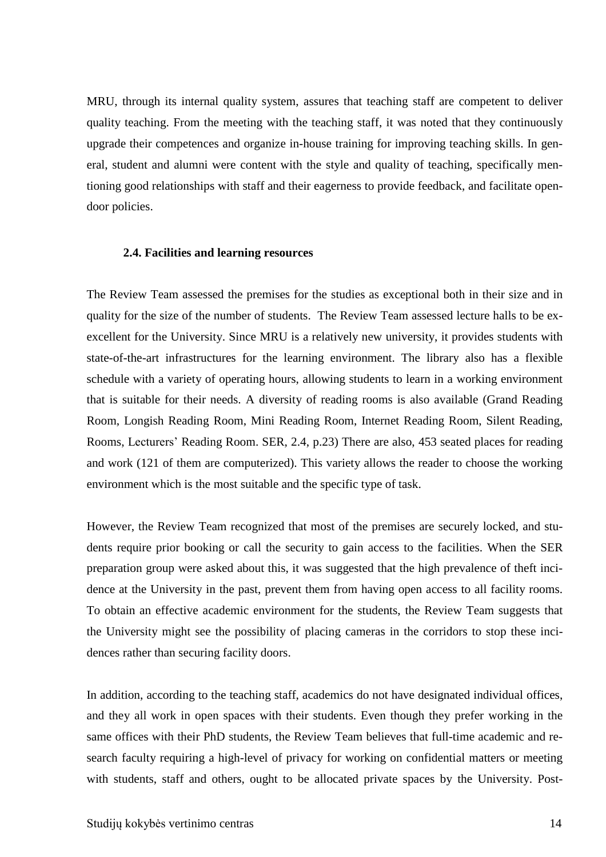MRU, through its internal quality system, assures that teaching staff are competent to deliver quality teaching. From the meeting with the teaching staff, it was noted that they continuously upgrade their competences and organize in-house training for improving teaching skills. In general, student and alumni were content with the style and quality of teaching, specifically mentioning good relationships with staff and their eagerness to provide feedback, and facilitate opendoor policies.

### <span id="page-13-0"></span>**2.4. Facilities and learning resources**

The Review Team assessed the premises for the studies as exceptional both in their size and in quality for the size of the number of students. The Review Team assessed lecture halls to be exexcellent for the University. Since MRU is a relatively new university, it provides students with state-of-the-art infrastructures for the learning environment. The library also has a flexible schedule with a variety of operating hours, allowing students to learn in a working environment that is suitable for their needs. A diversity of reading rooms is also available (Grand Reading Room, Longish Reading Room, Mini Reading Room, Internet Reading Room, Silent Reading, Rooms, Lecturers' Reading Room. SER, 2.4, p.23) There are also, 453 seated places for reading and work (121 of them are computerized). This variety allows the reader to choose the working environment which is the most suitable and the specific type of task.

However, the Review Team recognized that most of the premises are securely locked, and students require prior booking or call the security to gain access to the facilities. When the SER preparation group were asked about this, it was suggested that the high prevalence of theft incidence at the University in the past, prevent them from having open access to all facility rooms. To obtain an effective academic environment for the students, the Review Team suggests that the University might see the possibility of placing cameras in the corridors to stop these incidences rather than securing facility doors.

In addition, according to the teaching staff, academics do not have designated individual offices, and they all work in open spaces with their students. Even though they prefer working in the same offices with their PhD students, the Review Team believes that full-time academic and research faculty requiring a high-level of privacy for working on confidential matters or meeting with students, staff and others, ought to be allocated private spaces by the University. Post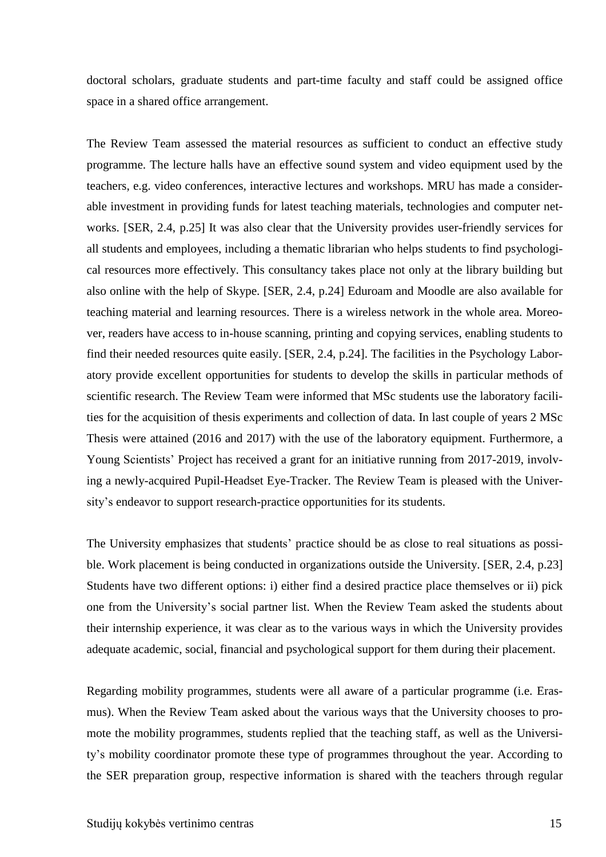doctoral scholars, graduate students and part-time faculty and staff could be assigned office space in a shared office arrangement.

The Review Team assessed the material resources as sufficient to conduct an effective study programme. The lecture halls have an effective sound system and video equipment used by the teachers, e.g. video conferences, interactive lectures and workshops. MRU has made a considerable investment in providing funds for latest teaching materials, technologies and computer networks. [SER, 2.4, p.25] It was also clear that the University provides user-friendly services for all students and employees, including a thematic librarian who helps students to find psychological resources more effectively. This consultancy takes place not only at the library building but also online with the help of Skype. [SER, 2.4, p.24] Eduroam and Moodle are also available for teaching material and learning resources. There is a wireless network in the whole area. Moreover, readers have access to in-house scanning, printing and copying services, enabling students to find their needed resources quite easily. [SER, 2.4, p.24]. The facilities in the Psychology Laboratory provide excellent opportunities for students to develop the skills in particular methods of scientific research. The Review Team were informed that MSc students use the laboratory facilities for the acquisition of thesis experiments and collection of data. In last couple of years 2 MSc Thesis were attained (2016 and 2017) with the use of the laboratory equipment. Furthermore, a Young Scientists' Project has received a grant for an initiative running from 2017-2019, involving a newly-acquired Pupil-Headset Eye-Tracker. The Review Team is pleased with the University's endeavor to support research-practice opportunities for its students.

The University emphasizes that students' practice should be as close to real situations as possible. Work placement is being conducted in organizations outside the University. [SER, 2.4, p.23] Students have two different options: i) either find a desired practice place themselves or ii) pick one from the University's social partner list. When the Review Team asked the students about their internship experience, it was clear as to the various ways in which the University provides adequate academic, social, financial and psychological support for them during their placement.

Regarding mobility programmes, students were all aware of a particular programme (i.e. Erasmus). When the Review Team asked about the various ways that the University chooses to promote the mobility programmes, students replied that the teaching staff, as well as the University's mobility coordinator promote these type of programmes throughout the year. According to the SER preparation group, respective information is shared with the teachers through regular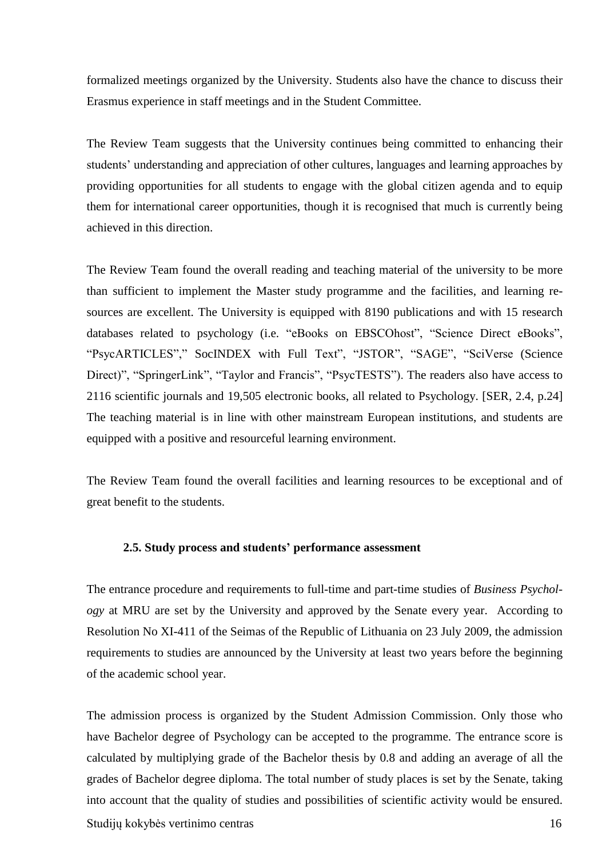formalized meetings organized by the University. Students also have the chance to discuss their Erasmus experience in staff meetings and in the Student Committee.

The Review Team suggests that the University continues being committed to enhancing their students' understanding and appreciation of other cultures, languages and learning approaches by providing opportunities for all students to engage with the global citizen agenda and to equip them for international career opportunities, though it is recognised that much is currently being achieved in this direction.

The Review Team found the overall reading and teaching material of the university to be more than sufficient to implement the Master study programme and the facilities, and learning resources are excellent. The University is equipped with 8190 publications and with 15 research databases related to psychology (i.e. "eBooks on EBSCOhost", "Science Direct eBooks", "PsycARTICLES"," SocINDEX with Full Text", "JSTOR", "SAGE", "SciVerse (Science Direct)", "SpringerLink", "Taylor and Francis", "PsycTESTS"). The readers also have access to 2116 scientific journals and 19,505 electronic books, all related to Psychology. [SER, 2.4, p.24] The teaching material is in line with other mainstream European institutions, and students are equipped with a positive and resourceful learning environment.

The Review Team found the overall facilities and learning resources to be exceptional and of great benefit to the students.

#### <span id="page-15-0"></span>**2.5. Study process and students' performance assessment**

The entrance procedure and requirements to full-time and part-time studies of *Business Psychology* at MRU are set by the University and approved by the Senate every year. According to Resolution No XI-411 of the Seimas of the Republic of Lithuania on 23 July 2009, the admission requirements to studies are announced by the University at least two years before the beginning of the academic school year.

Studijų kokybės vertinimo centras 16 The admission process is organized by the Student Admission Commission. Only those who have Bachelor degree of Psychology can be accepted to the programme. The entrance score is calculated by multiplying grade of the Bachelor thesis by 0.8 and adding an average of all the grades of Bachelor degree diploma. The total number of study places is set by the Senate, taking into account that the quality of studies and possibilities of scientific activity would be ensured.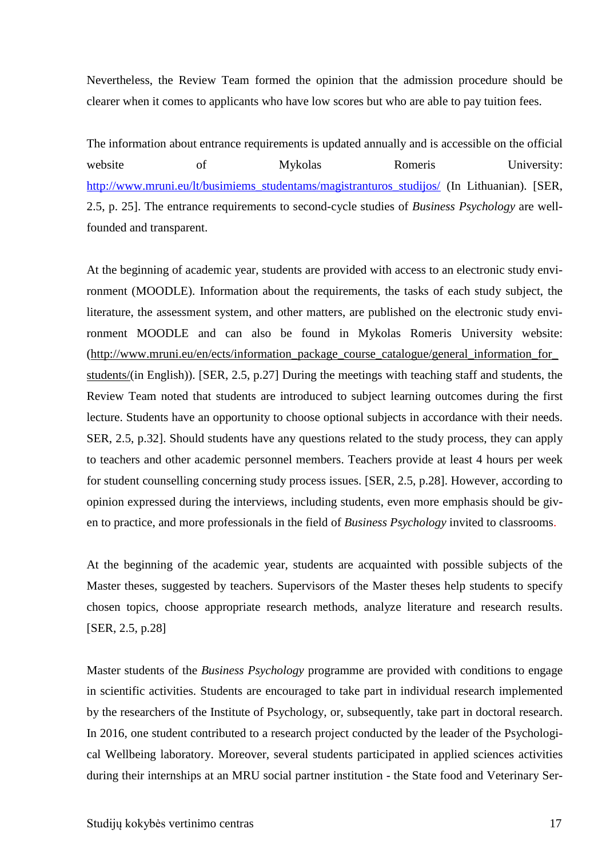Nevertheless, the Review Team formed the opinion that the admission procedure should be clearer when it comes to applicants who have low scores but who are able to pay tuition fees.

The information about entrance requirements is updated annually and is accessible on the official website of Mykolas Romeris University: [http://www.mruni.eu/lt/busimiems\\_studentams/magistranturos\\_studijos/](http://www.mruni.eu/lt/busimiems_studentams/magistranturos_studijos/) (In Lithuanian). [SER, 2.5, p. 25]. The entrance requirements to second-cycle studies of *Business Psychology* are wellfounded and transparent.

At the beginning of academic year, students are provided with access to an electronic study environment (MOODLE). Information about the requirements, the tasks of each study subject, the literature, the assessment system, and other matters, are published on the electronic study environment MOODLE and can also be found in Mykolas Romeris University website: [\(http://www.mruni.eu/en/ects/information\\_package\\_course\\_catalogue/general\\_information\\_for\\_](http://www.mruni.eu/en/ects/information_package_course_catalogue/general_information_for_students/) [students/\(](http://www.mruni.eu/en/ects/information_package_course_catalogue/general_information_for_students/)in English)). [SER, 2.5, p.27] During the meetings with teaching staff and students, the Review Team noted that students are introduced to subject learning outcomes during the first lecture. Students have an opportunity to choose optional subjects in accordance with their needs. SER, 2.5, p.32]. Should students have any questions related to the study process, they can apply to teachers and other academic personnel members. Teachers provide at least 4 hours per week for student counselling concerning study process issues. [SER, 2.5, p.28]. However, according to opinion expressed during the interviews, including students, even more emphasis should be given to practice, and more professionals in the field of *Business Psychology* invited to classrooms.

At the beginning of the academic year, students are acquainted with possible subjects of the Master theses, suggested by teachers. Supervisors of the Master theses help students to specify chosen topics, choose appropriate research methods, analyze literature and research results. [SER, 2.5, p.28]

Master students of the *Business Psychology* programme are provided with conditions to engage in scientific activities. Students are encouraged to take part in individual research implemented by the researchers of the Institute of Psychology, or, subsequently, take part in doctoral research. In 2016, one student contributed to a research project conducted by the leader of the Psychological Wellbeing laboratory. Moreover, several students participated in applied sciences activities during their internships at an MRU social partner institution - the State food and Veterinary Ser-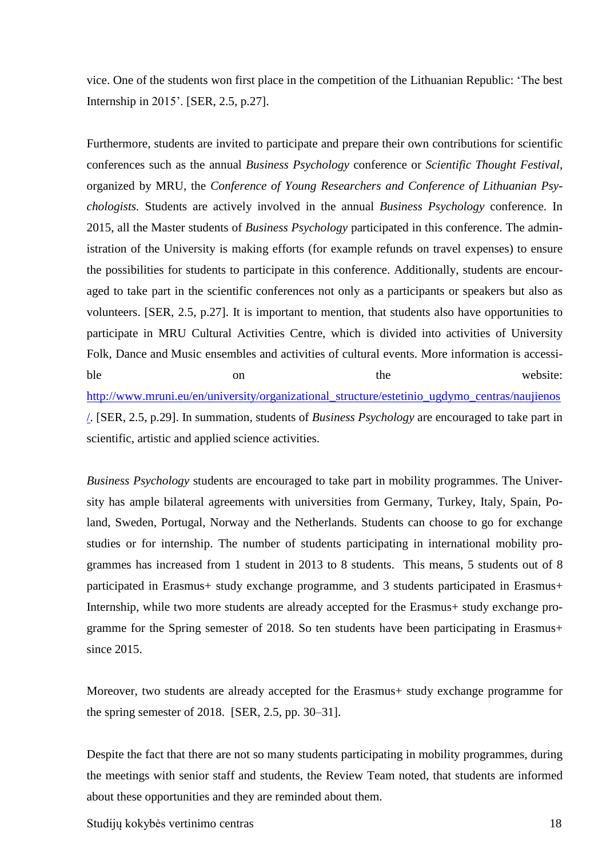vice. One of the students won first place in the competition of the Lithuanian Republic: 'The best Internship in 2015'. [SER, 2.5, p.27].

Furthermore, students are invited to participate and prepare their own contributions for scientific conferences such as the annual *Business Psychology* conference or *Scientific Thought Festival*, organized by MRU, the *Conference of Young Researchers and Conference of Lithuanian Psychologists.* Students are actively involved in the annual *Business Psychology* conference. In 2015, all the Master students of *Business Psychology* participated in this conference. The administration of the University is making efforts (for example refunds on travel expenses) to ensure the possibilities for students to participate in this conference. Additionally, students are encouraged to take part in the scientific conferences not only as a participants or speakers but also as volunteers. [SER, 2.5, p.27]. It is important to mention, that students also have opportunities to participate in MRU Cultural Activities Centre, which is divided into activities of University Folk, Dance and Music ensembles and activities of cultural events. More information is accessible on on the website: [http://www.mruni.eu/en/university/organizational\\_structure/estetinio\\_ugdymo\\_centras/naujienos](http://www.mruni.eu/en/university/organizational_structure/estetinio_ugdymo_centras/naujienos/) [/.](http://www.mruni.eu/en/university/organizational_structure/estetinio_ugdymo_centras/naujienos/) [SER, 2.5, p.29]. In summation, students of *Business Psychology* are encouraged to take part in scientific, artistic and applied science activities.

*Business Psychology* students are encouraged to take part in mobility programmes. The University has ample bilateral agreements with universities from Germany, Turkey, Italy, Spain, Poland, Sweden, Portugal, Norway and the Netherlands. Students can choose to go for exchange studies or for internship. The number of students participating in international mobility programmes has increased from 1 student in 2013 to 8 students. This means, 5 students out of 8 participated in Erasmus+ study exchange programme, and 3 students participated in Erasmus+ Internship, while two more students are already accepted for the Erasmus+ study exchange programme for the Spring semester of 2018. So ten students have been participating in Erasmus+ since 2015.

Moreover, two students are already accepted for the Erasmus+ study exchange programme for the spring semester of 2018. [SER, 2.5, pp. 30–31].

Despite the fact that there are not so many students participating in mobility programmes, during the meetings with senior staff and students, the Review Team noted, that students are informed about these opportunities and they are reminded about them.

Studijų kokybės vertinimo centras 18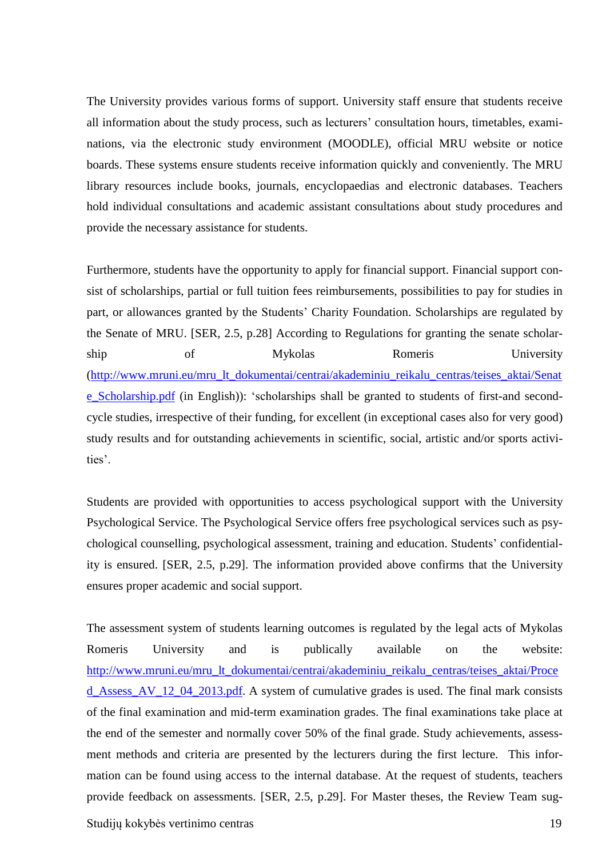The University provides various forms of support. University staff ensure that students receive all information about the study process, such as lecturers' consultation hours, timetables, examinations, via the electronic study environment (MOODLE), official MRU website or notice boards. These systems ensure students receive information quickly and conveniently. The MRU library resources include books, journals, encyclopaedias and electronic databases. Teachers hold individual consultations and academic assistant consultations about study procedures and provide the necessary assistance for students.

Furthermore, students have the opportunity to apply for financial support. Financial support consist of scholarships, partial or full tuition fees reimbursements, possibilities to pay for studies in part, or allowances granted by the Students' Charity Foundation. Scholarships are regulated by the Senate of MRU. [SER, 2.5, p.28] According to Regulations for granting the senate scholarship of Mykolas Romeris University [\(http://www.mruni.eu/mru\\_lt\\_dokumentai/centrai/akademiniu\\_reikalu\\_centras/teises\\_aktai/Senat](http://www.mruni.eu/mru_lt_dokumentai/centrai/akademiniu_reikalu_centras/teises_aktai/Senate_Scholarship.pdf) [e\\_Scholarship.pdf](http://www.mruni.eu/mru_lt_dokumentai/centrai/akademiniu_reikalu_centras/teises_aktai/Senate_Scholarship.pdf) (in English)): 'scholarships shall be granted to students of first-and secondcycle studies, irrespective of their funding, for excellent (in exceptional cases also for very good) study results and for outstanding achievements in scientific, social, artistic and/or sports activities'.

Students are provided with opportunities to access psychological support with the University Psychological Service. The Psychological Service offers free psychological services such as psychological counselling, psychological assessment, training and education. Students' confidentiality is ensured. [SER, 2.5, p.29]. The information provided above confirms that the University ensures proper academic and social support.

The assessment system of students learning outcomes is regulated by the legal acts of Mykolas Romeris University and is publically available on the website: [http://www.mruni.eu/mru\\_lt\\_dokumentai/centrai/akademiniu\\_reikalu\\_centras/teises\\_aktai/Proce](http://www.mruni.eu/mru_lt_dokumentai/centrai/akademiniu_reikalu_centras/teises_aktai/Proced_Assess_AV_12_04_2013.pdf) [d\\_Assess\\_AV\\_12\\_04\\_2013.pdf.](http://www.mruni.eu/mru_lt_dokumentai/centrai/akademiniu_reikalu_centras/teises_aktai/Proced_Assess_AV_12_04_2013.pdf) A system of cumulative grades is used. The final mark consists of the final examination and mid-term examination grades. The final examinations take place at the end of the semester and normally cover 50% of the final grade. Study achievements, assessment methods and criteria are presented by the lecturers during the first lecture. This information can be found using access to the internal database. At the request of students, teachers provide feedback on assessments. [SER, 2.5, p.29]. For Master theses, the Review Team sug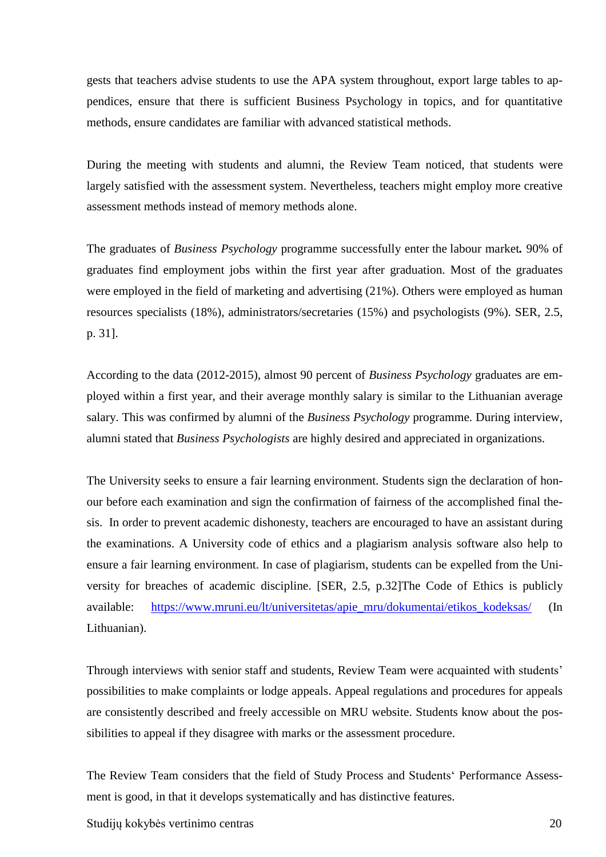gests that teachers advise students to use the APA system throughout, export large tables to appendices, ensure that there is sufficient Business Psychology in topics, and for quantitative methods, ensure candidates are familiar with advanced statistical methods.

During the meeting with students and alumni, the Review Team noticed, that students were largely satisfied with the assessment system. Nevertheless, teachers might employ more creative assessment methods instead of memory methods alone.

The graduates of *Business Psychology* programme successfully enter the labour market*.* 90% of graduates find employment jobs within the first year after graduation. Most of the graduates were employed in the field of marketing and advertising (21%). Others were employed as human resources specialists (18%), administrators/secretaries (15%) and psychologists (9%). SER, 2.5, p. 31].

According to the data (2012-2015), almost 90 percent of *Business Psychology* graduates are employed within a first year, and their average monthly salary is similar to the Lithuanian average salary. This was confirmed by alumni of the *Business Psychology* programme. During interview, alumni stated that *Business Psychologists* are highly desired and appreciated in organizations.

The University seeks to ensure a fair learning environment. Students sign the declaration of honour before each examination and sign the confirmation of fairness of the accomplished final thesis. In order to prevent academic dishonesty, teachers are encouraged to have an assistant during the examinations. A University code of ethics and a plagiarism analysis software also help to ensure a fair learning environment. In case of plagiarism, students can be expelled from the University for breaches of academic discipline. [SER, 2.5, p.32]The Code of Ethics is publicly available: [https://www.mruni.eu/lt/universitetas/apie\\_mru/dokumentai/etikos\\_kodeksas/](https://www.mruni.eu/lt/universitetas/apie_mru/dokumentai/etikos_kodeksas/) (In Lithuanian).

Through interviews with senior staff and students, Review Team were acquainted with students' possibilities to make complaints or lodge appeals. Appeal regulations and procedures for appeals are consistently described and freely accessible on MRU website. Students know about the possibilities to appeal if they disagree with marks or the assessment procedure.

The Review Team considers that the field of Study Process and Students' Performance Assessment is good, in that it develops systematically and has distinctive features.

Studijų kokybės vertinimo centras 20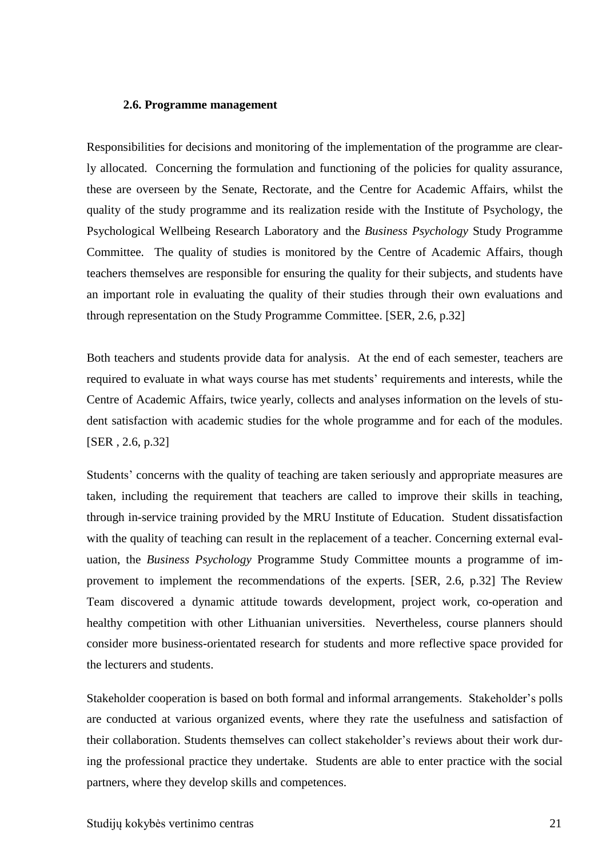#### <span id="page-20-0"></span>**2.6. Programme management**

Responsibilities for decisions and monitoring of the implementation of the programme are clearly allocated. Concerning the formulation and functioning of the policies for quality assurance, these are overseen by the Senate, Rectorate, and the Centre for Academic Affairs, whilst the quality of the study programme and its realization reside with the Institute of Psychology, the Psychological Wellbeing Research Laboratory and the *Business Psychology* Study Programme Committee. The quality of studies is monitored by the Centre of Academic Affairs, though teachers themselves are responsible for ensuring the quality for their subjects, and students have an important role in evaluating the quality of their studies through their own evaluations and through representation on the Study Programme Committee. [SER, 2.6, p.32]

Both teachers and students provide data for analysis. At the end of each semester, teachers are required to evaluate in what ways course has met students' requirements and interests, while the Centre of Academic Affairs, twice yearly, collects and analyses information on the levels of student satisfaction with academic studies for the whole programme and for each of the modules. [SER , 2.6, p.32]

Students' concerns with the quality of teaching are taken seriously and appropriate measures are taken, including the requirement that teachers are called to improve their skills in teaching, through in-service training provided by the MRU Institute of Education. Student dissatisfaction with the quality of teaching can result in the replacement of a teacher. Concerning external evaluation, the *Business Psychology* Programme Study Committee mounts a programme of improvement to implement the recommendations of the experts. [SER, 2.6, p.32] The Review Team discovered a dynamic attitude towards development, project work, co-operation and healthy competition with other Lithuanian universities. Nevertheless, course planners should consider more business-orientated research for students and more reflective space provided for the lecturers and students.

Stakeholder cooperation is based on both formal and informal arrangements. Stakeholder's polls are conducted at various organized events, where they rate the usefulness and satisfaction of their collaboration. Students themselves can collect stakeholder's reviews about their work during the professional practice they undertake. Students are able to enter practice with the social partners, where they develop skills and competences.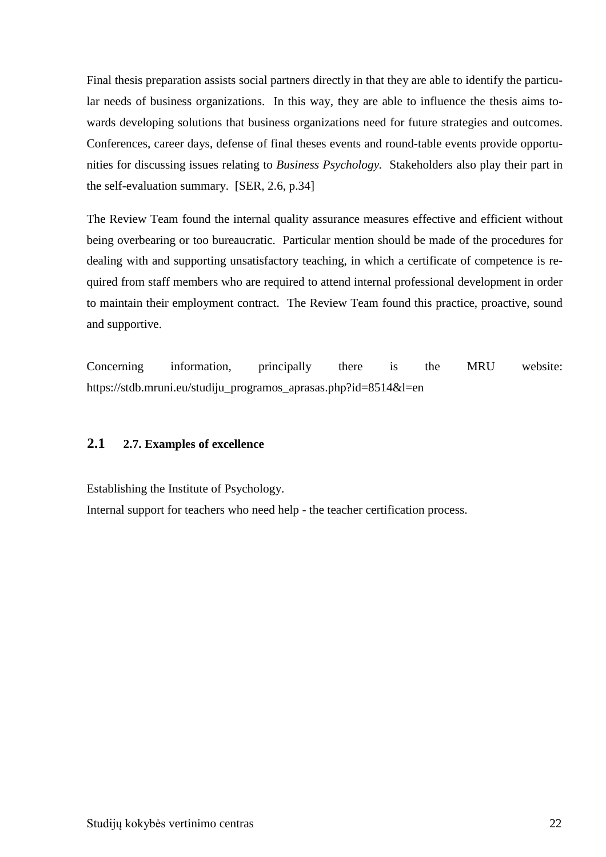Final thesis preparation assists social partners directly in that they are able to identify the particular needs of business organizations. In this way, they are able to influence the thesis aims towards developing solutions that business organizations need for future strategies and outcomes. Conferences, career days, defense of final theses events and round-table events provide opportunities for discussing issues relating to *Business Psychology.* Stakeholders also play their part in the self-evaluation summary. [SER, 2.6, p.34]

The Review Team found the internal quality assurance measures effective and efficient without being overbearing or too bureaucratic. Particular mention should be made of the procedures for dealing with and supporting unsatisfactory teaching, in which a certificate of competence is required from staff members who are required to attend internal professional development in order to maintain their employment contract. The Review Team found this practice, proactive, sound and supportive.

Concerning information, principally there is the MRU website: https://stdb.mruni.eu/studiju\_programos\_aprasas.php?id=8514&l=en

# <span id="page-21-0"></span>**2.1 2.7. Examples of excellence**

Establishing the Institute of Psychology.

Internal support for teachers who need help - the teacher certification process.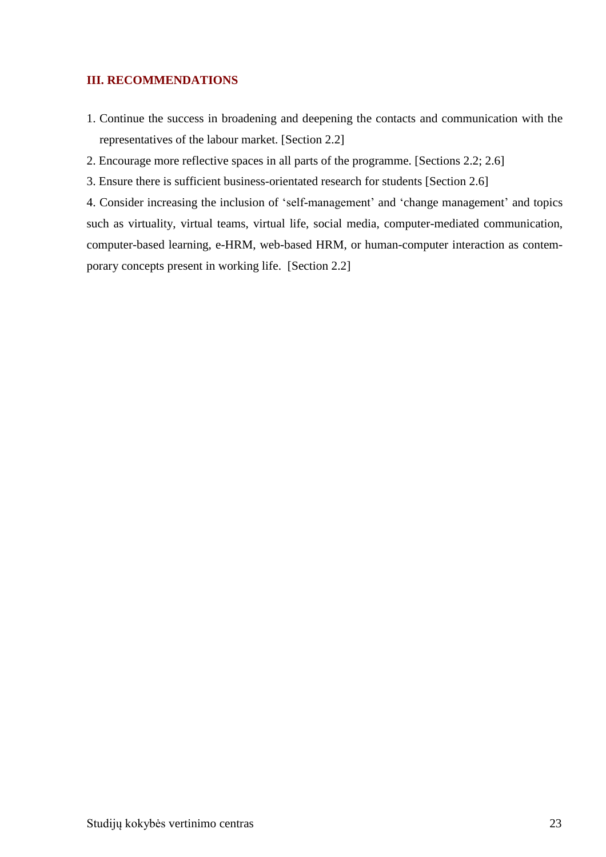## <span id="page-22-0"></span>**III. RECOMMENDATIONS**

1. Continue the success in broadening and deepening the contacts and communication with the representatives of the labour market. [Section 2.2]

2. Encourage more reflective spaces in all parts of the programme. [Sections 2.2; 2.6]

3. Ensure there is sufficient business-orientated research for students [Section 2.6]

4. Consider increasing the inclusion of 'self-management' and 'change management' and topics such as virtuality, virtual teams, virtual life, social media, computer-mediated communication, computer-based learning, e-HRM, web-based HRM, or human-computer interaction as contemporary concepts present in working life. [Section 2.2]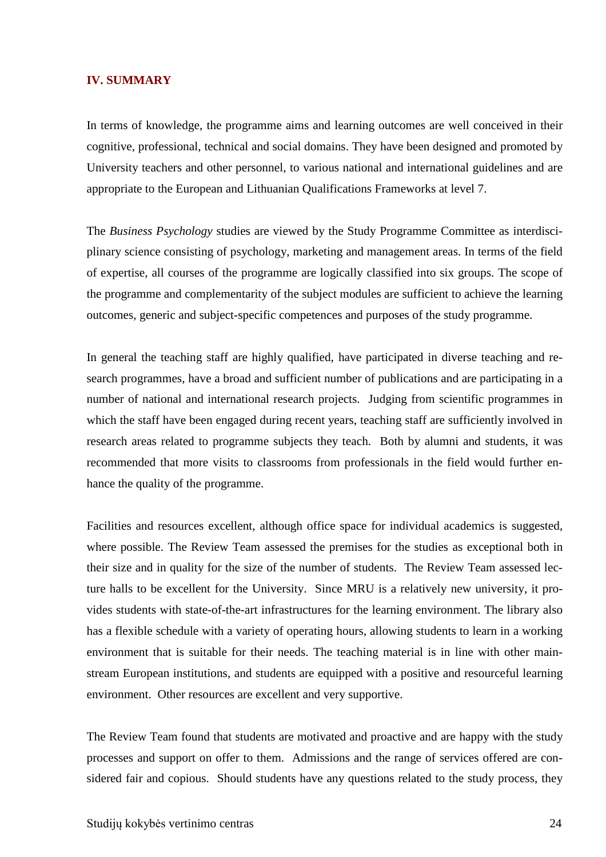#### <span id="page-23-0"></span>**IV. SUMMARY**

In terms of knowledge, the programme aims and learning outcomes are well conceived in their cognitive, professional, technical and social domains. They have been designed and promoted by University teachers and other personnel, to various national and international guidelines and are appropriate to the European and Lithuanian Qualifications Frameworks at level 7.

The *Business Psychology* studies are viewed by the Study Programme Committee as interdisciplinary science consisting of psychology, marketing and management areas. In terms of the field of expertise, all courses of the programme are logically classified into six groups. The scope of the programme and complementarity of the subject modules are sufficient to achieve the learning outcomes, generic and subject-specific competences and purposes of the study programme.

In general the teaching staff are highly qualified, have participated in diverse teaching and research programmes, have a broad and sufficient number of publications and are participating in a number of national and international research projects. Judging from scientific programmes in which the staff have been engaged during recent years, teaching staff are sufficiently involved in research areas related to programme subjects they teach. Both by alumni and students, it was recommended that more visits to classrooms from professionals in the field would further enhance the quality of the programme.

Facilities and resources excellent, although office space for individual academics is suggested, where possible. The Review Team assessed the premises for the studies as exceptional both in their size and in quality for the size of the number of students. The Review Team assessed lecture halls to be excellent for the University. Since MRU is a relatively new university, it provides students with state-of-the-art infrastructures for the learning environment. The library also has a flexible schedule with a variety of operating hours, allowing students to learn in a working environment that is suitable for their needs. The teaching material is in line with other mainstream European institutions, and students are equipped with a positive and resourceful learning environment. Other resources are excellent and very supportive.

The Review Team found that students are motivated and proactive and are happy with the study processes and support on offer to them. Admissions and the range of services offered are considered fair and copious. Should students have any questions related to the study process, they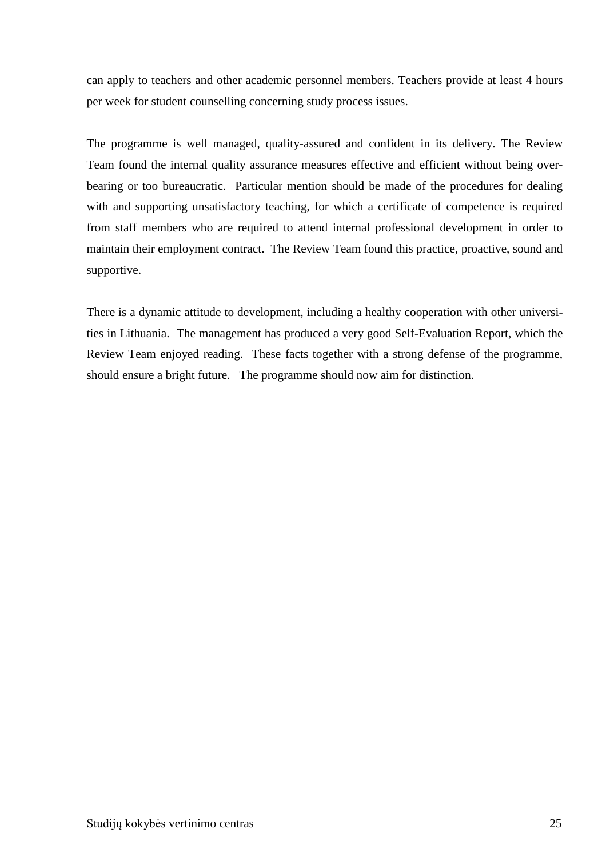can apply to teachers and other academic personnel members. Teachers provide at least 4 hours per week for student counselling concerning study process issues.

The programme is well managed, quality-assured and confident in its delivery. The Review Team found the internal quality assurance measures effective and efficient without being overbearing or too bureaucratic. Particular mention should be made of the procedures for dealing with and supporting unsatisfactory teaching, for which a certificate of competence is required from staff members who are required to attend internal professional development in order to maintain their employment contract. The Review Team found this practice, proactive, sound and supportive.

There is a dynamic attitude to development, including a healthy cooperation with other universities in Lithuania. The management has produced a very good Self-Evaluation Report, which the Review Team enjoyed reading. These facts together with a strong defense of the programme, should ensure a bright future. The programme should now aim for distinction.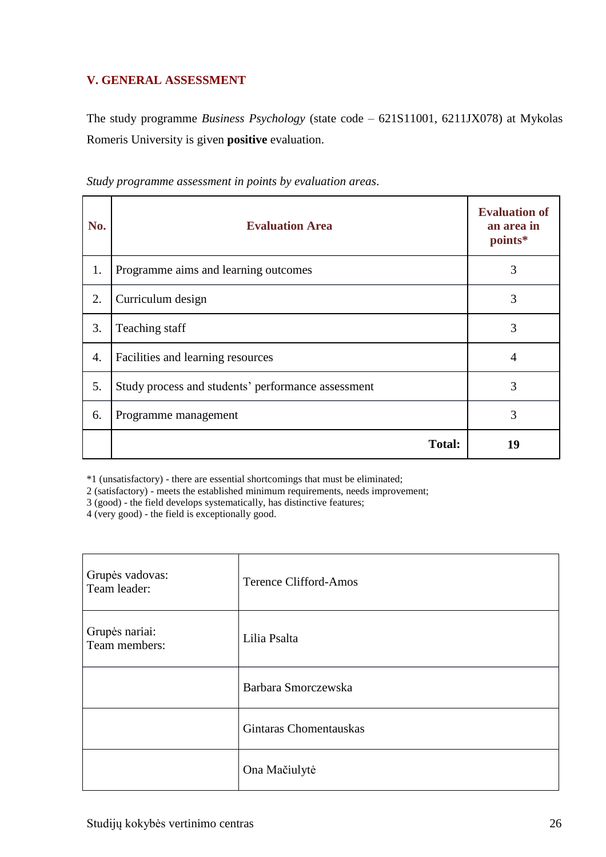# <span id="page-25-0"></span>**V. GENERAL ASSESSMENT**

The study programme *Business Psychology* (state code – 621S11001, 6211JX078) at Mykolas Romeris University is given **positive** evaluation.

| No. | <b>Evaluation Area</b>                             | <b>Evaluation of</b><br>an area in<br>points* |
|-----|----------------------------------------------------|-----------------------------------------------|
| 1.  | Programme aims and learning outcomes               | 3                                             |
| 2.  | Curriculum design                                  | 3                                             |
| 3.  | Teaching staff                                     | 3                                             |
| 4.  | Facilities and learning resources                  | 4                                             |
| 5.  | Study process and students' performance assessment | 3                                             |
| 6.  | Programme management                               | 3                                             |
|     | <b>Total:</b>                                      | 19                                            |

*Study programme assessment in points by evaluation areas*.

\*1 (unsatisfactory) - there are essential shortcomings that must be eliminated;

2 (satisfactory) - meets the established minimum requirements, needs improvement;

3 (good) - the field develops systematically, has distinctive features;

4 (very good) - the field is exceptionally good.

| Grupės vadovas:<br>Team leader: | <b>Terence Clifford-Amos</b> |
|---------------------------------|------------------------------|
| Grupės nariai:<br>Team members: | Lilia Psalta                 |
|                                 | Barbara Smorczewska          |
|                                 | Gintaras Chomentauskas       |
|                                 | Ona Mačiulytė                |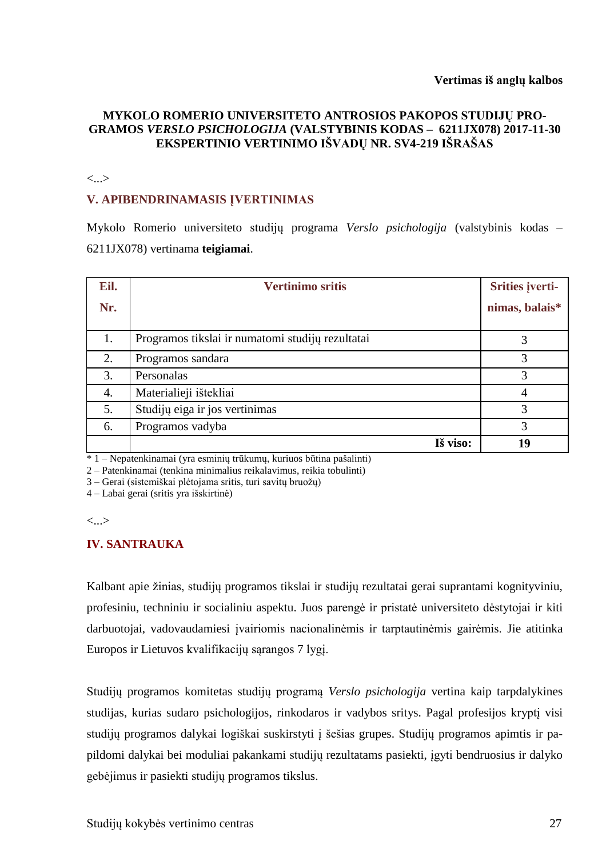# **MYKOLO ROMERIO UNIVERSITETO ANTROSIOS PAKOPOS STUDIJŲ PRO-GRAMOS** *VERSLO PSICHOLOGIJA* **(VALSTYBINIS KODAS – 6211JX078) 2017-11-30 EKSPERTINIO VERTINIMO IŠVADŲ NR. SV4-219 IŠRAŠAS**

#### <...>

### **V. APIBENDRINAMASIS ĮVERTINIMAS**

Mykolo Romerio universiteto studijų programa *Verslo psichologija* (valstybinis kodas – 6211JX078) vertinama **teigiamai**.

| Eil. | <b>Vertinimo sritis</b>                          | Srities įverti- |
|------|--------------------------------------------------|-----------------|
| Nr.  |                                                  | nimas, balais*  |
| 1.   | Programos tikslai ir numatomi studijų rezultatai |                 |
| 2.   | Programos sandara                                | 3               |
| 3.   | Personalas                                       | 3               |
| 4.   | Materialieji ištekliai                           | 4               |
| 5.   | Studijų eiga ir jos vertinimas                   | 3               |
| 6.   | Programos vadyba                                 | 3               |
|      | Iš viso:                                         | 19              |

 $\overline{1 - N}$ epatenkinamai (yra esminių trūkumų, kuriuos būtina pašalinti)

2 – Patenkinamai (tenkina minimalius reikalavimus, reikia tobulinti)

3 – Gerai (sistemiškai plėtojama sritis, turi savitų bruožų)

4 – Labai gerai (sritis yra išskirtinė)

 $\langle \cdot \rangle$ 

### **IV. SANTRAUKA**

Kalbant apie žinias, studijų programos tikslai ir studijų rezultatai gerai suprantami kognityviniu, profesiniu, techniniu ir socialiniu aspektu. Juos parengė ir pristatė universiteto dėstytojai ir kiti darbuotojai, vadovaudamiesi įvairiomis nacionalinėmis ir tarptautinėmis gairėmis. Jie atitinka Europos ir Lietuvos kvalifikacijų sąrangos 7 lygį.

Studijų programos komitetas studijų programą *Verslo psichologija* vertina kaip tarpdalykines studijas, kurias sudaro psichologijos, rinkodaros ir vadybos sritys. Pagal profesijos kryptį visi studijų programos dalykai logiškai suskirstyti į šešias grupes. Studijų programos apimtis ir papildomi dalykai bei moduliai pakankami studijų rezultatams pasiekti, įgyti bendruosius ir dalyko gebėjimus ir pasiekti studijų programos tikslus.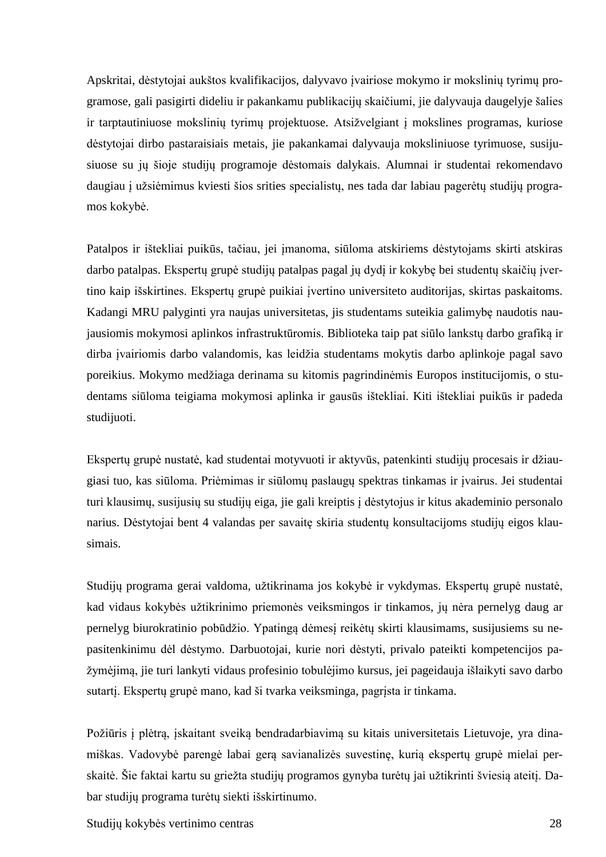Apskritai, dėstytojai aukštos kvalifikacijos, dalyvavo įvairiose mokymo ir mokslinių tyrimų programose, gali pasigirti dideliu ir pakankamu publikacijų skaičiumi, jie dalyvauja daugelyje šalies ir tarptautiniuose mokslinių tyrimų projektuose. Atsižvelgiant į mokslines programas, kuriose dėstytojai dirbo pastaraisiais metais, jie pakankamai dalyvauja moksliniuose tyrimuose, susijusiuose su jų šioje studijų programoje dėstomais dalykais. Alumnai ir studentai rekomendavo daugiau į užsiėmimus kviesti šios srities specialistų, nes tada dar labiau pagerėtų studijų programos kokybė.

Patalpos ir ištekliai puikūs, tačiau, jei įmanoma, siūloma atskiriems dėstytojams skirti atskiras darbo patalpas. Ekspertų grupė studijų patalpas pagal jų dydį ir kokybę bei studentų skaičių įvertino kaip išskirtines. Ekspertų grupė puikiai įvertino universiteto auditorijas, skirtas paskaitoms. Kadangi MRU palyginti yra naujas universitetas, jis studentams suteikia galimybę naudotis naujausiomis mokymosi aplinkos infrastruktūromis. Biblioteka taip pat siūlo lankstų darbo grafiką ir dirba įvairiomis darbo valandomis, kas leidžia studentams mokytis darbo aplinkoje pagal savo poreikius. Mokymo medžiaga derinama su kitomis pagrindinėmis Europos institucijomis, o studentams siūloma teigiama mokymosi aplinka ir gausūs ištekliai. Kiti ištekliai puikūs ir padeda studijuoti.

Ekspertų grupė nustatė, kad studentai motyvuoti ir aktyvūs, patenkinti studijų procesais ir džiaugiasi tuo, kas siūloma. Priėmimas ir siūlomų paslaugų spektras tinkamas ir įvairus. Jei studentai turi klausimų, susijusių su studijų eiga, jie gali kreiptis į dėstytojus ir kitus akademinio personalo narius. Dėstytojai bent 4 valandas per savaitę skiria studentų konsultacijoms studijų eigos klausimais.

Studijų programa gerai valdoma, užtikrinama jos kokybė ir vykdymas. Ekspertų grupė nustatė, kad vidaus kokybės užtikrinimo priemonės veiksmingos ir tinkamos, jų nėra pernelyg daug ar pernelyg biurokratinio pobūdžio. Ypatingą dėmesį reikėtų skirti klausimams, susijusiems su nepasitenkinimu dėl dėstymo. Darbuotojai, kurie nori dėstyti, privalo pateikti kompetencijos pažymėjimą, jie turi lankyti vidaus profesinio tobulėjimo kursus, jei pageidauja išlaikyti savo darbo sutartį. Ekspertų grupė mano, kad ši tvarka veiksminga, pagrįsta ir tinkama.

Požiūris į plėtrą, įskaitant sveiką bendradarbiavimą su kitais universitetais Lietuvoje, yra dinamiškas. Vadovybė parengė labai gerą savianalizės suvestinę, kurią ekspertų grupė mielai perskaitė. Šie faktai kartu su griežta studijų programos gynyba turėtų jai užtikrinti šviesią ateitį. Dabar studijų programa turėtų siekti išskirtinumo.